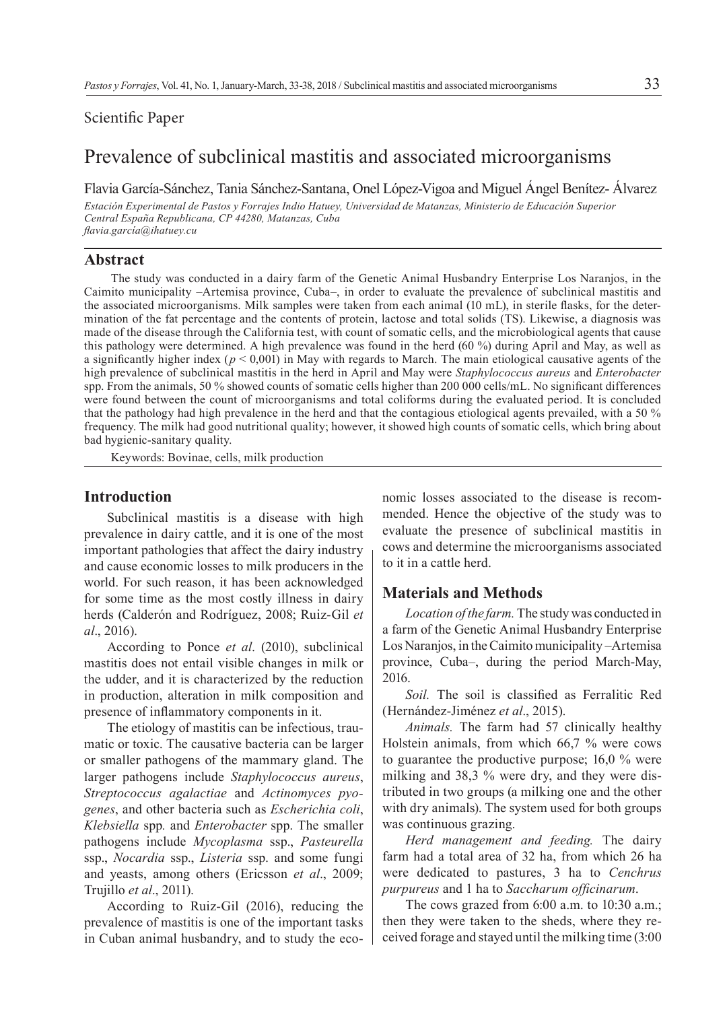# Scientific Paper

# Prevalence of subclinical mastitis and associated microorganisms

Flavia García-Sánchez, Tania Sánchez-Santana, Onel López-Vigoa and Miguel Ángel Benítez- Álvarez

*Estación Experimental de Pastos y Forrajes Indio Hatuey, Universidad de Matanzas, Ministerio de Educación Superior Central España Republicana, CP 44280, Matanzas, Cuba flavia.garcía@ihatuey.cu*

## **Abstract**

The study was conducted in a dairy farm of the Genetic Animal Husbandry Enterprise Los Naranjos, in the Caimito municipality –Artemisa province, Cuba–, in order to evaluate the prevalence of subclinical mastitis and the associated microorganisms. Milk samples were taken from each animal (10 mL), in sterile flasks, for the determination of the fat percentage and the contents of protein, lactose and total solids (TS). Likewise, a diagnosis was made of the disease through the California test, with count of somatic cells, and the microbiological agents that cause this pathology were determined. A high prevalence was found in the herd (60 %) during April and May, as well as a significantly higher index ( $p < 0.001$ ) in May with regards to March. The main etiological causative agents of the high prevalence of subclinical mastitis in the herd in April and May were *Staphylococcus aureus* and *Enterobacter*  spp. From the animals, 50 % showed counts of somatic cells higher than 200 000 cells/mL. No significant differences were found between the count of microorganisms and total coliforms during the evaluated period. It is concluded that the pathology had high prevalence in the herd and that the contagious etiological agents prevailed, with a 50 % frequency. The milk had good nutritional quality; however, it showed high counts of somatic cells, which bring about bad hygienic-sanitary quality.

Keywords: Bovinae, cells, milk production

# **Introduction**

Subclinical mastitis is a disease with high prevalence in dairy cattle, and it is one of the most important pathologies that affect the dairy industry and cause economic losses to milk producers in the world. For such reason, it has been acknowledged for some time as the most costly illness in dairy herds (Calderón and Rodríguez, 2008; Ruiz-Gil *et al*., 2016).

According to Ponce *et al*. (2010), subclinical mastitis does not entail visible changes in milk or the udder, and it is characterized by the reduction in production, alteration in milk composition and presence of inflammatory components in it.

The etiology of mastitis can be infectious, traumatic or toxic. The causative bacteria can be larger or smaller pathogens of the mammary gland. The larger pathogens include *Staphylococcus aureus*, *Streptococcus agalactiae* and *Actinomyces pyogenes*, and other bacteria such as *Escherichia coli*, *Klebsiella* spp*.* and *Enterobacter* spp. The smaller pathogens include *Mycoplasma* ssp., *Pasteurella*  ssp., *Nocardia* ssp., *Listeria* ssp. and some fungi and yeasts, among others (Ericsson *et al*., 2009; Trujillo *et al*., 2011).

According to Ruiz-Gil (2016), reducing the prevalence of mastitis is one of the important tasks in Cuban animal husbandry, and to study the economic losses associated to the disease is recommended. Hence the objective of the study was to evaluate the presence of subclinical mastitis in cows and determine the microorganisms associated to it in a cattle herd.

# **Materials and Methods**

*Location of the farm.* The study was conducted in a farm of the Genetic Animal Husbandry Enterprise Los Naranjos, in the Caimito municipality –Artemisa province, Cuba–, during the period March-May, 2016.

*Soil.* The soil is classified as Ferralitic Red (Hernández-Jiménez *et al*., 2015).

*Animals.* The farm had 57 clinically healthy Holstein animals, from which 66,7 % were cows to guarantee the productive purpose; 16,0 % were milking and 38,3 % were dry, and they were distributed in two groups (a milking one and the other with dry animals). The system used for both groups was continuous grazing.

*Herd management and feeding.* The dairy farm had a total area of 32 ha, from which 26 ha were dedicated to pastures, 3 ha to *Cenchrus purpureus* and 1 ha to *Saccharum officinarum*.

The cows grazed from 6:00 a.m. to 10:30 a.m.; then they were taken to the sheds, where they received forage and stayed until the milking time (3:00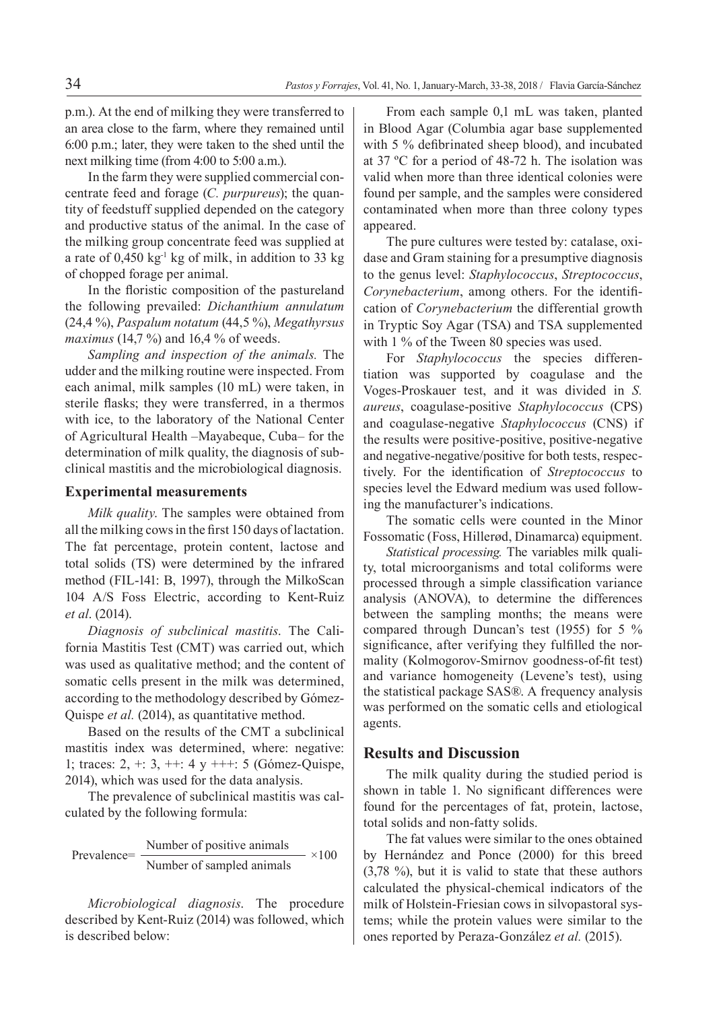p.m.). At the end of milking they were transferred to an area close to the farm, where they remained until 6:00 p.m.; later, they were taken to the shed until the next milking time (from 4:00 to 5:00 a.m.).

In the farm they were supplied commercial concentrate feed and forage (*C. purpureus*); the quantity of feedstuff supplied depended on the category and productive status of the animal. In the case of the milking group concentrate feed was supplied at a rate of  $0,450 \text{ kg}^1 \text{ kg}$  of milk, in addition to 33 kg of chopped forage per animal.

In the floristic composition of the pastureland the following prevailed: *Dichanthium annulatum*  (24,4 %), *Paspalum notatum* (44,5 %), *Megathyrsus maximus* (14,7 %) and 16,4 % of weeds.

*Sampling and inspection of the animals.* The udder and the milking routine were inspected. From each animal, milk samples (10 mL) were taken, in sterile flasks; they were transferred, in a thermos with ice, to the laboratory of the National Center of Agricultural Health –Mayabeque, Cuba– for the determination of milk quality, the diagnosis of subclinical mastitis and the microbiological diagnosis.

#### **Experimental measurements**

*Milk quality*. The samples were obtained from all the milking cows in the first 150 days of lactation. The fat percentage, protein content, lactose and total solids (TS) were determined by the infrared method (FIL-141: B, 1997), through the MilkoScan 104 A/S Foss Electric, according to Kent-Ruiz *et al*. (2014).

*Diagnosis of subclinical mastitis*. The California Mastitis Test (CMT) was carried out, which was used as qualitative method; and the content of somatic cells present in the milk was determined, according to the methodology described by Gómez-Quispe *et al.* (2014), as quantitative method.

Based on the results of the CMT a subclinical mastitis index was determined, where: negative: 1; traces:  $2, +: 3, +: 4$  y  $++: 5$  (Gómez-Quispe, 2014), which was used for the data analysis.

The prevalence of subclinical mastitis was calculated by the following formula:

Prevalence=  $\frac{\text{Number of positive animals}}{\text{Number of positive animals}}$  ×100 Number of sampled animals

*Microbiological diagnosis*. The procedure described by Kent-Ruiz (2014) was followed, which is described below:

From each sample 0,1 mL was taken, planted in Blood Agar (Columbia agar base supplemented with 5 % defibrinated sheep blood), and incubated at 37 ºC for a period of 48-72 h. The isolation was valid when more than three identical colonies were found per sample, and the samples were considered contaminated when more than three colony types appeared.

The pure cultures were tested by: catalase, oxidase and Gram staining for a presumptive diagnosis to the genus level: *Staphylococcus*, *Streptococcus*, *Corynebacterium*, among others. For the identification of *Corynebacterium* the differential growth in Tryptic Soy Agar (TSA) and TSA supplemented with 1 % of the Tween 80 species was used.

For *Staphylococcus* the species differentiation was supported by coagulase and the Voges-Proskauer test, and it was divided in *S. aureus*, coagulase-positive *Staphylococcus* (CPS) and coagulase-negative *Staphylococcus* (CNS) if the results were positive-positive, positive-negative and negative-negative/positive for both tests, respectively. For the identification of *Streptococcus* to species level the Edward medium was used following the manufacturer's indications.

The somatic cells were counted in the Minor Fossomatic (Foss, Hillerød, Dinamarca) equipment.

*Statistical processing.* The variables milk quality, total microorganisms and total coliforms were processed through a simple classification variance analysis (ANOVA), to determine the differences between the sampling months; the means were compared through Duncan's test (1955) for 5 % significance, after verifying they fulfilled the normality (Kolmogorov-Smirnov goodness-of-fit test) and variance homogeneity (Levene's test), using the statistical package SAS®. A frequency analysis was performed on the somatic cells and etiological agents.

### **Results and Discussion**

The milk quality during the studied period is shown in table 1. No significant differences were found for the percentages of fat, protein, lactose, total solids and non-fatty solids.

The fat values were similar to the ones obtained by Hernández and Ponce (2000) for this breed (3,78 %), but it is valid to state that these authors calculated the physical-chemical indicators of the milk of Holstein-Friesian cows in silvopastoral systems; while the protein values were similar to the ones reported by Peraza-González *et al.* (2015).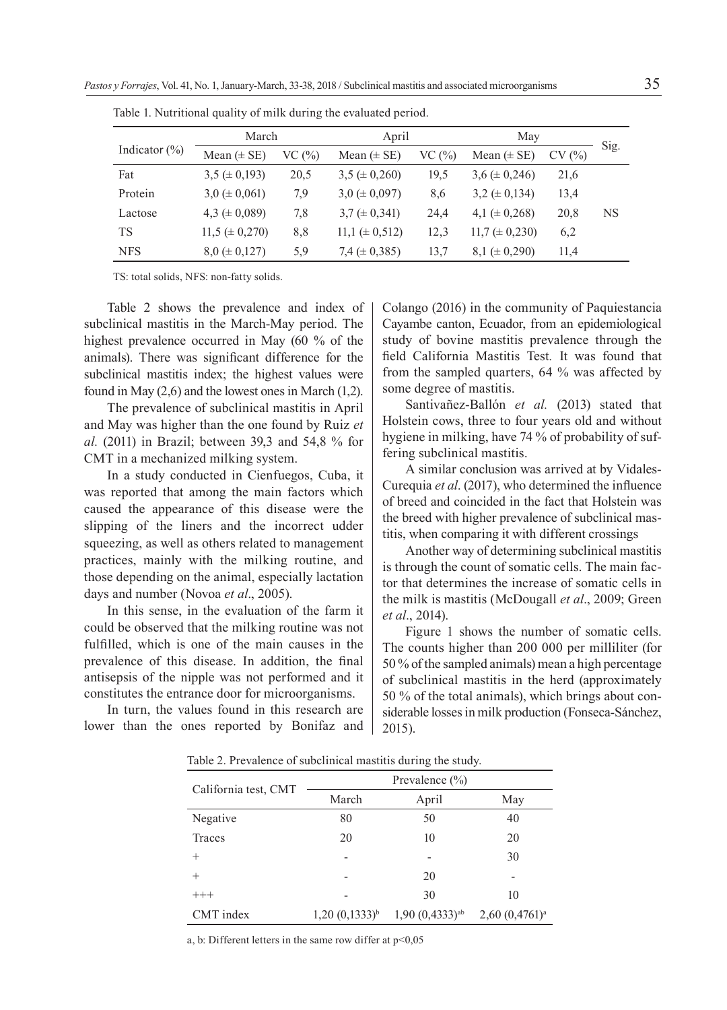|                   | March                |       | April                |       | May                  |       |           |
|-------------------|----------------------|-------|----------------------|-------|----------------------|-------|-----------|
| Indicator $(\% )$ | Mean $(\pm SE)$      | VC(%) | Mean $(\pm SE)$      | VC(%) | Mean $(\pm SE)$      | CV(%) | Sig.      |
| Fat               | $3.5 \ (\pm 0.193)$  | 20,5  | $3,5 \ (\pm 0,260)$  | 19,5  | $3,6 \ (\pm 0,246)$  | 21,6  |           |
| Protein           | $3.0 \ (\pm 0.061)$  | 7.9   | $3.0 \ (\pm 0.097)$  | 8,6   | $3,2 \ (\pm 0,134)$  | 13,4  |           |
| Lactose           | 4,3 $(\pm 0.089)$    | 7,8   | $3.7 \ (\pm 0.341)$  | 24,4  | 4,1 ( $\pm$ 0,268)   | 20,8  | <b>NS</b> |
| <b>TS</b>         | $11,5 \ (\pm 0,270)$ | 8,8   | $11,1 \ (\pm 0.512)$ | 12,3  | $11.7 \ (\pm 0.230)$ | 6,2   |           |
| <b>NFS</b>        | $8.0 \ (\pm 0.127)$  | 5.9   | 7,4 $(\pm 0.385)$    | 13,7  | $8,1 \ (\pm 0,290)$  | 11,4  |           |

Table 1. Nutritional quality of milk during the evaluated period.

TS: total solids, NFS: non-fatty solids.

Table 2 shows the prevalence and index of subclinical mastitis in the March-May period. The highest prevalence occurred in May (60 % of the animals). There was significant difference for the subclinical mastitis index; the highest values were found in May (2,6) and the lowest ones in March (1,2).

The prevalence of subclinical mastitis in April and May was higher than the one found by Ruiz *et al.* (2011) in Brazil; between 39,3 and 54,8 % for CMT in a mechanized milking system.

In a study conducted in Cienfuegos, Cuba, it was reported that among the main factors which caused the appearance of this disease were the slipping of the liners and the incorrect udder squeezing, as well as others related to management practices, mainly with the milking routine, and those depending on the animal, especially lactation days and number (Novoa *et al*., 2005).

In this sense, in the evaluation of the farm it could be observed that the milking routine was not fulfilled, which is one of the main causes in the prevalence of this disease. In addition, the final antisepsis of the nipple was not performed and it constitutes the entrance door for microorganisms.

In turn, the values found in this research are lower than the ones reported by Bonifaz and Colango (2016) in the community of Paquiestancia Cayambe canton, Ecuador, from an epidemiological study of bovine mastitis prevalence through the field California Mastitis Test*.* It was found that from the sampled quarters, 64 % was affected by some degree of mastitis.

Santivañez-Ballón *et al.* (2013) stated that Holstein cows, three to four years old and without hygiene in milking, have 74 % of probability of suffering subclinical mastitis.

A similar conclusion was arrived at by Vidales-Curequia *et al*. (2017), who determined the influence of breed and coincided in the fact that Holstein was the breed with higher prevalence of subclinical mastitis, when comparing it with different crossings

Another way of determining subclinical mastitis is through the count of somatic cells. The main factor that determines the increase of somatic cells in the milk is mastitis (McDougall *et al*., 2009; Green *et al*., 2014).

Figure 1 shows the number of somatic cells. The counts higher than 200 000 per milliliter (for 50 % of the sampled animals) mean a high percentage of subclinical mastitis in the herd (approximately 50 % of the total animals), which brings about considerable losses in milk production (Fonseca-Sánchez, 2015).

Table 2. Prevalence of subclinical mastitis during the study.

| California test, CMT | March              | April                        | May              |  |
|----------------------|--------------------|------------------------------|------------------|--|
| Negative             | 80                 | 50                           | 40               |  |
| Traces               | 20                 | 10                           | 20               |  |
| $^{+}$               |                    |                              | 30               |  |
| $^{+}$               |                    | 20                           |                  |  |
| $^{+++}$             |                    | 30                           | 10               |  |
| CMT index            | $1,20(0,1333)^{b}$ | $1,90(0,4333)$ <sup>ab</sup> | $2,60(0,4761)^a$ |  |

a, b: Different letters in the same row differ at p<0,05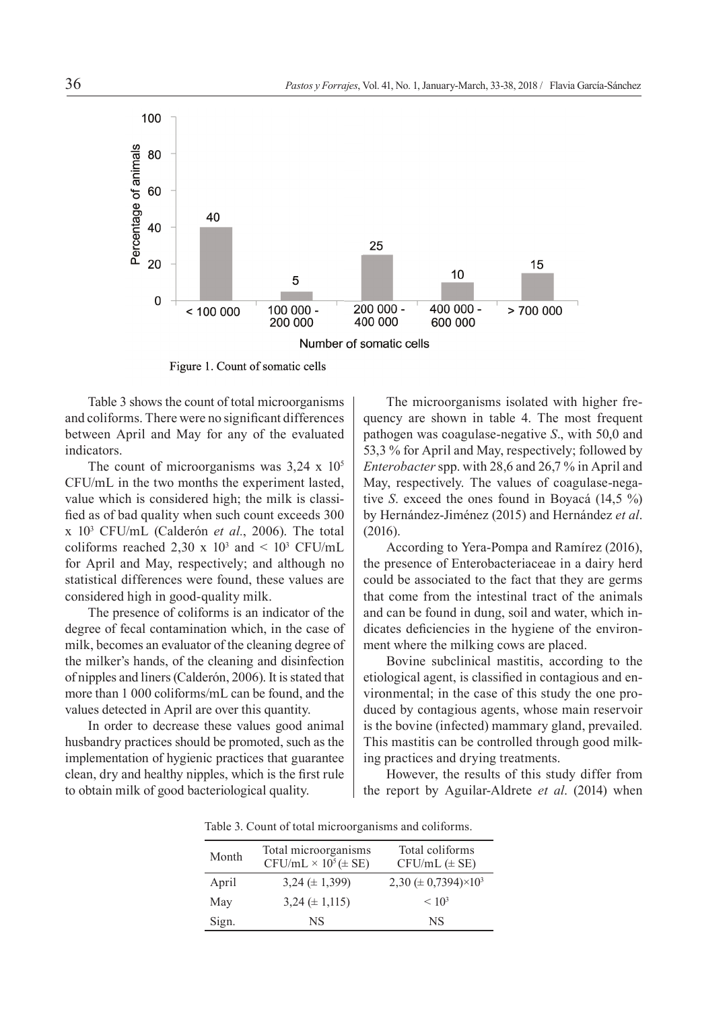

Figure 1. Count of somatic cells

Table 3 shows the count of total microorganisms and coliforms. There were no significant differences between April and May for any of the evaluated indicators.

The count of microorganisms was  $3,24 \times 10^5$ CFU/mL in the two months the experiment lasted, value which is considered high; the milk is classified as of bad quality when such count exceeds 300 x 103 CFU/mL (Calderón *et al.*, 2006). The total coliforms reached 2,30 x  $10^3$  and <  $10^3$  CFU/mL for April and May, respectively; and although no statistical differences were found, these values are considered high in good-quality milk.

The presence of coliforms is an indicator of the degree of fecal contamination which, in the case of milk, becomes an evaluator of the cleaning degree of the milker's hands, of the cleaning and disinfection of nipples and liners (Calderón, 2006). It is stated that more than 1 000 coliforms/mL can be found, and the values detected in April are over this quantity.

In order to decrease these values good animal husbandry practices should be promoted, such as the implementation of hygienic practices that guarantee clean, dry and healthy nipples, which is the first rule to obtain milk of good bacteriological quality.

The microorganisms isolated with higher frequency are shown in table 4. The most frequent pathogen was coagulase-negative *S*., with 50,0 and 53,3 % for April and May, respectively; followed by *Enterobacter* spp. with 28,6 and 26,7 % in April and May, respectively. The values of coagulase-negative *S*. exceed the ones found in Boyacá (14,5 %) by Hernández-Jiménez (2015) and Hernández *et al*. (2016).

According to Yera-Pompa and Ramírez (2016), the presence of Enterobacteriaceae in a dairy herd could be associated to the fact that they are germs that come from the intestinal tract of the animals and can be found in dung, soil and water, which indicates deficiencies in the hygiene of the environment where the milking cows are placed.

Bovine subclinical mastitis, according to the etiological agent, is classified in contagious and environmental; in the case of this study the one produced by contagious agents, whose main reservoir is the bovine (infected) mammary gland, prevailed. This mastitis can be controlled through good milking practices and drying treatments.

However, the results of this study differ from the report by Aguilar-Aldrete *et al*. (2014) when

Table 3. Count of total microorganisms and coliforms.

| Month | Total microorganisms<br>$CFU/mL \times 10^5 (\pm SE)$ | Total coliforms<br>$CFU/mL$ ( $\pm$ SE)       |
|-------|-------------------------------------------------------|-----------------------------------------------|
| April | $3.24 \ (\pm 1.399)$                                  | 2,30 ( $\pm$ 0,7394) $\times$ 10 <sup>3</sup> |
| May   | $3,24 \ (\pm 1,115)$                                  | < 10 <sup>3</sup>                             |
| Sign. | NS                                                    | NS                                            |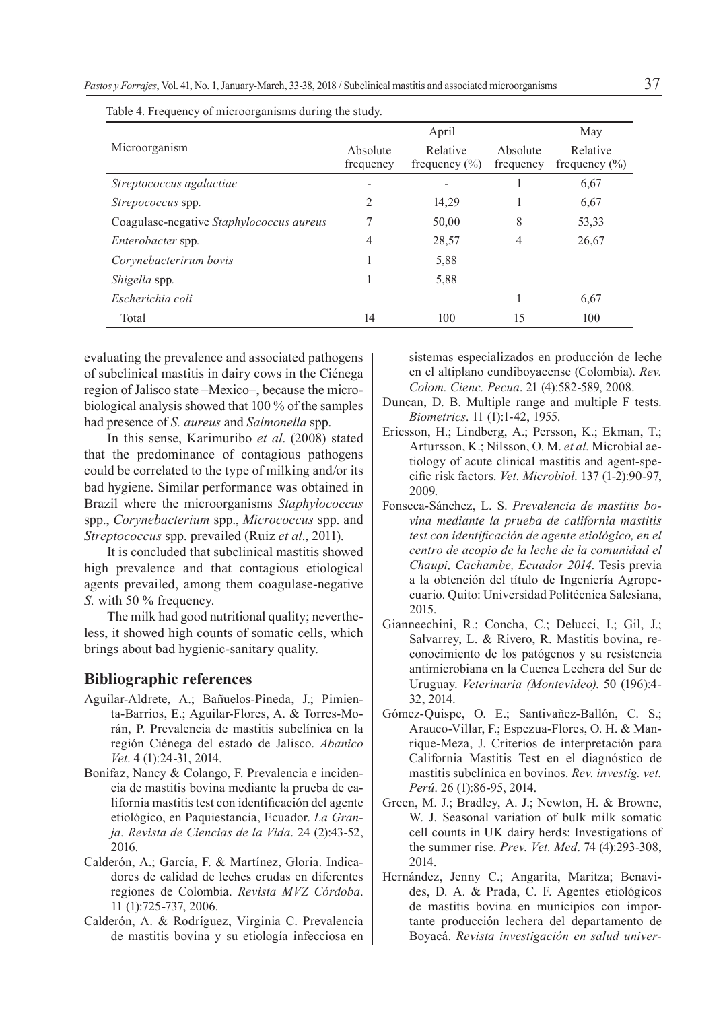|                                          | April                 |                               |                       | May                           |
|------------------------------------------|-----------------------|-------------------------------|-----------------------|-------------------------------|
| Microorganism                            | Absolute<br>frequency | Relative<br>frequency $(\% )$ | Absolute<br>frequency | Relative<br>frequency $(\% )$ |
| Streptococcus agalactiae                 |                       |                               |                       | 6,67                          |
| <i>Strepococcus</i> spp.                 | 2                     | 14,29                         |                       | 6,67                          |
| Coagulase-negative Staphylococcus aureus |                       | 50,00                         | 8                     | 53,33                         |
| Enterobacter spp.                        | 4                     | 28,57                         | 4                     | 26,67                         |
| Corynebacterirum bovis                   |                       | 5,88                          |                       |                               |
| Shigella spp.                            |                       | 5,88                          |                       |                               |
| Escherichia coli                         |                       |                               |                       | 6,67                          |
| Total                                    | 14                    | 100                           | 15                    | 100                           |

Table 4. Frequency of microorganisms during the study.

evaluating the prevalence and associated pathogens of subclinical mastitis in dairy cows in the Ciénega region of Jalisco state –Mexico–, because the microbiological analysis showed that 100 % of the samples had presence of *S. aureus* and *Salmonella* spp.

In this sense, Karimuribo *et al*. (2008) stated that the predominance of contagious pathogens could be correlated to the type of milking and/or its bad hygiene. Similar performance was obtained in Brazil where the microorganisms *Staphylococcus*  spp., *Corynebacterium* spp., *Micrococcus* spp. and *Streptococcus* spp. prevailed (Ruiz *et al*., 2011).

It is concluded that subclinical mastitis showed high prevalence and that contagious etiological agents prevailed, among them coagulase-negative *S.* with 50 % frequency.

The milk had good nutritional quality; nevertheless, it showed high counts of somatic cells, which brings about bad hygienic-sanitary quality.

## **Bibliographic references**

- Aguilar-Aldrete, A.; Bañuelos-Pineda, J.; Pimienta-Barrios, E.; Aguilar-Flores, A. & Torres-Morán, P. Prevalencia de mastitis subclínica en la región Ciénega del estado de Jalisco. *Abanico Vet*. 4 (1):24-31, 2014.
- Bonifaz, Nancy & Colango, F. Prevalencia e incidencia de mastitis bovina mediante la prueba de california mastitis test con identificación del agente etiológico, en Paquiestancia, Ecuador. *La Granja. Revista de Ciencias de la Vida*. 24 (2):43-52, 2016.
- Calderón, A.; García, F. & Martínez, Gloria. Indicadores de calidad de leches crudas en diferentes regiones de Colombia. *Revista MVZ Córdoba*. 11 (1):725-737, 2006.
- Calderón, A. & Rodríguez, Virginia C. Prevalencia de mastitis bovina y su etiología infecciosa en

sistemas especializados en producción de leche en el altiplano cundiboyacense (Colombia). *Rev. Colom. Cienc. Pecua*. 21 (4):582-589, 2008.

- Duncan, D. B. Multiple range and multiple F tests. *Biometrics*. 11 (1):1-42, 1955.
- Ericsson, H.; Lindberg, A.; Persson, K.; Ekman, T.; Artursson, K.; Nilsson, O. M. *et al.* Microbial aetiology of acute clinical mastitis and agent-specific risk factors. *Vet. Microbiol*. 137 (1-2):90-97, 2009.
- Fonseca-Sánchez, L. S. *Prevalencia de mastitis bovina mediante la prueba de california mastitis test con identificación de agente etiológico, en el centro de acopio de la leche de la comunidad el Chaupi, Cachambe, Ecuador 2014*. Tesis previa a la obtención del título de Ingeniería Agropecuario. Quito: Universidad Politécnica Salesiana, 2015.
- Gianneechini, R.; Concha, C.; Delucci, I.; Gil, J.; Salvarrey, L. & Rivero, R. Mastitis bovina, reconocimiento de los patógenos y su resistencia antimicrobiana en la Cuenca Lechera del Sur de Uruguay. *Veterinaria (Montevideo)*. 50 (196):4- 32, 2014.
- Gómez-Quispe, O. E.; Santivañez-Ballón, C. S.; Arauco-Villar, F.; Espezua-Flores, O. H. & Manrique-Meza, J. Criterios de interpretación para California Mastitis Test en el diagnóstico de mastitis subclínica en bovinos. *Rev. investig. vet. Perú*. 26 (1):86-95, 2014.
- Green, M. J.; Bradley, A. J.; Newton, H. & Browne, W. J. Seasonal variation of bulk milk somatic cell counts in UK dairy herds: Investigations of the summer rise. *Prev. Vet. Med*. 74 (4):293-308, 2014.
- Hernández, Jenny C.; Angarita, Maritza; Benavides, D. A. & Prada, C. F. Agentes etiológicos de mastitis bovina en municipios con importante producción lechera del departamento de Boyacá. *Revista investigación en salud univer-*